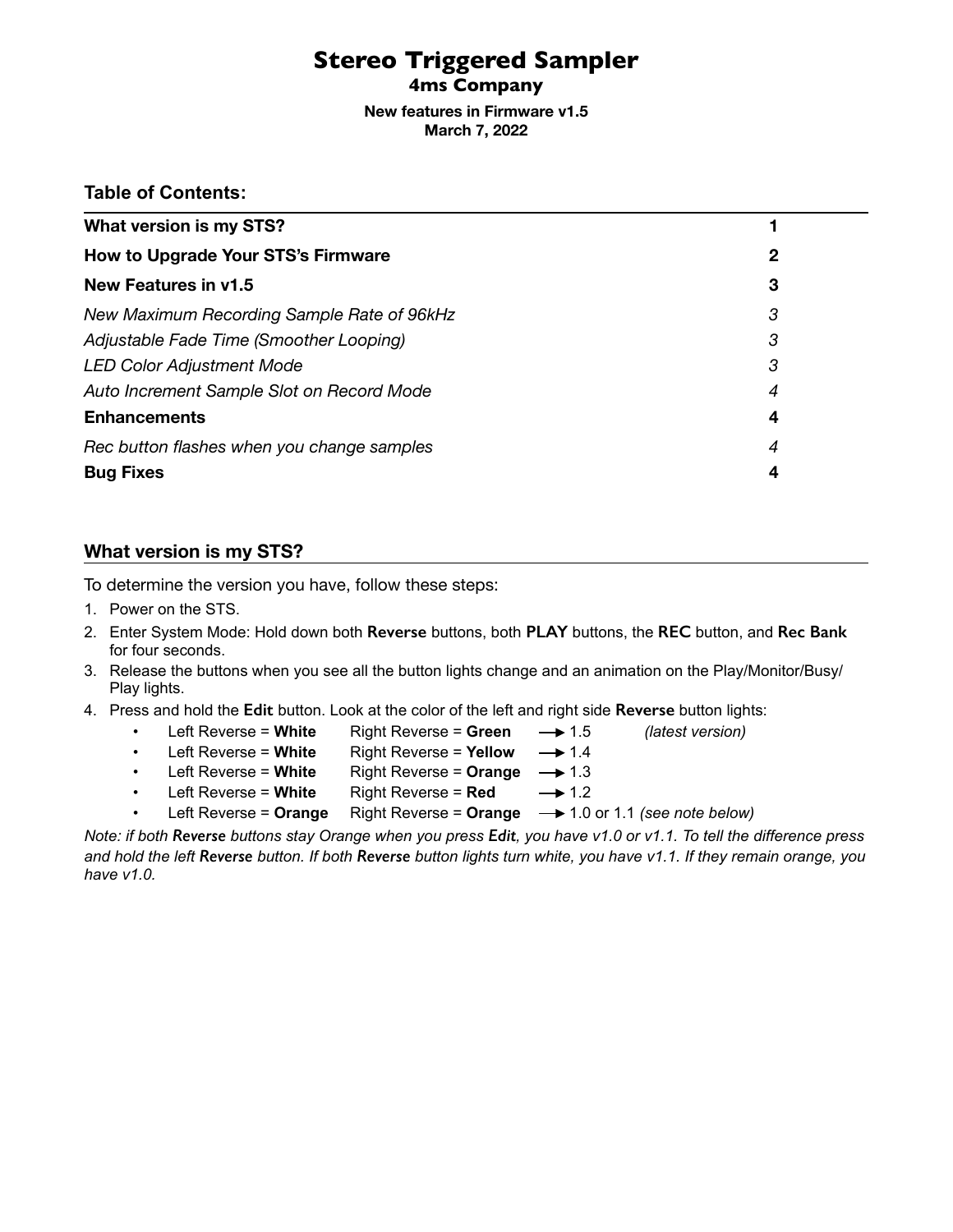# **Stereo Triggered Sampler**

**4ms Company**

**New features in Firmware v1.5 March 7, 2022** 

# **Table of Contents:**

| What version is my STS?                    |   |
|--------------------------------------------|---|
| How to Upgrade Your STS's Firmware         | 2 |
| New Features in v1.5                       | 3 |
| New Maximum Recording Sample Rate of 96kHz | 3 |
| Adjustable Fade Time (Smoother Looping)    | 3 |
| <b>LED Color Adjustment Mode</b>           | 3 |
| Auto Increment Sample Slot on Record Mode  | 4 |
| <b>Enhancements</b>                        | 4 |
| Rec button flashes when you change samples | 4 |
| <b>Bug Fixes</b>                           | 4 |

# <span id="page-0-0"></span>**What version is my STS?**

To determine the version you have, follow these steps:

- 1. Power on the STS.
- 2. Enter System Mode: Hold down both **Reverse** buttons, both **PLAY** buttons, the **REC** button, and **Rec Bank** for four seconds.
- 3. Release the buttons when you see all the button lights change and an animation on the Play/Monitor/Busy/ Play lights.
- 4. Press and hold the **Edit** button. Look at the color of the left and right side **Reverse** button lights:
	- Left Reverse = **White** Right Reverse = **Green** 1.5 *(latest version)*
	-
	- $\cdot$  Left Reverse = White Right Reverse = Yellow  $\rightarrow$  1.4
	-
	- $\cdot$  Left Reverse = White Right Reverse = Orange  $\rightarrow$  1.3
	-
	- Left Reverse = **White** Right Reverse =  $\text{Red}$   $\longrightarrow$  1.2
	- Left Reverse = Orange Right Reverse = Orange  $\rightarrow$  1.0 or 1.1 *(see note below)*
- *Note: if both Reverse buttons stay Orange when you press Edit, you have v1.0 or v1.1. To tell the difference press*

*and hold the left Reverse button. If both Reverse button lights turn white, you have v1.1. If they remain orange, you have v1.0.*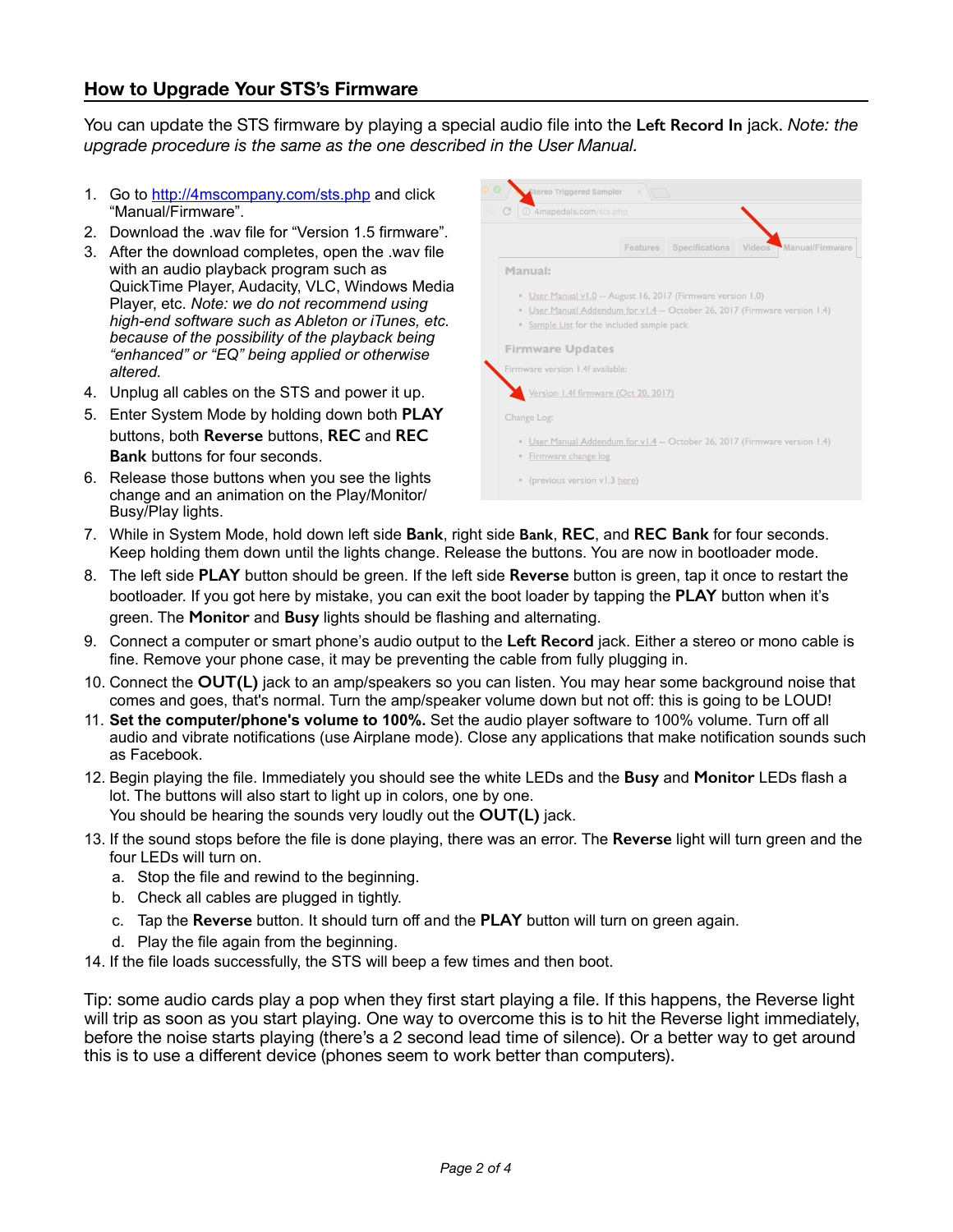# <span id="page-1-0"></span>**How to Upgrade Your STS's Firmware**

You can update the STS firmware by playing a special audio file into the **Left Record In** jack. *Note: the upgrade procedure is the same as the one described in the User Manual.*

- 1. Go to <http://4mscompany.com/sts.php> and click "Manual/Firmware".
- 2. Download the .wav file for "Version 1.5 firmware".
- 3. After the download completes, open the .wav file with an audio playback program such as QuickTime Player, Audacity, VLC, Windows Media Player, etc. *Note: we do not recommend using high-end software such as Ableton or iTunes, etc. because of the possibility of the playback being "enhanced" or "EQ" being applied or otherwise altered.*
- 4. Unplug all cables on the STS and power it up.
- 5. Enter System Mode by holding down both **PLAY**  buttons, both **Reverse** buttons, **REC** and **REC Bank** buttons for four seconds.
- 6. Release those buttons when you see the lights change and an animation on the Play/Monitor/ Busy/Play lights.



- 7. While in System Mode, hold down left side **Bank**, right side **Bank**, **REC**, and **REC Bank** for four seconds. Keep holding them down until the lights change. Release the buttons. You are now in bootloader mode.
- 8. The left side **PLAY** button should be green. If the left side **Reverse** button is green, tap it once to restart the bootloader. If you got here by mistake, you can exit the boot loader by tapping the **PLAY** button when it's green. The **Monitor** and **Busy** lights should be flashing and alternating.
- 9. Connect a computer or smart phone's audio output to the **Left Record** jack. Either a stereo or mono cable is fine. Remove your phone case, it may be preventing the cable from fully plugging in.
- 10. Connect the **OUT(L)** jack to an amp/speakers so you can listen. You may hear some background noise that comes and goes, that's normal. Turn the amp/speaker volume down but not off: this is going to be LOUD!
- 11. **Set the computer/phone's volume to 100%.** Set the audio player software to 100% volume. Turn off all audio and vibrate notifications (use Airplane mode). Close any applications that make notification sounds such as Facebook.
- 12. Begin playing the file. Immediately you should see the white LEDs and the **Busy** and **Monitor** LEDs flash a lot. The buttons will also start to light up in colors, one by one. You should be hearing the sounds very loudly out the **OUT(L)** jack.
- 13. If the sound stops before the file is done playing, there was an error. The **Reverse** light will turn green and the four LEDs will turn on.
	- a. Stop the file and rewind to the beginning.
	- b. Check all cables are plugged in tightly.
	- c. Tap the **Reverse** button. It should turn off and the **PLAY** button will turn on green again.
	- d. Play the file again from the beginning.
- 14. If the file loads successfully, the STS will beep a few times and then boot.

Tip: some audio cards play a pop when they first start playing a file. If this happens, the Reverse light will trip as soon as you start playing. One way to overcome this is to hit the Reverse light immediately, before the noise starts playing (there's a 2 second lead time of silence). Or a better way to get around this is to use a different device (phones seem to work better than computers).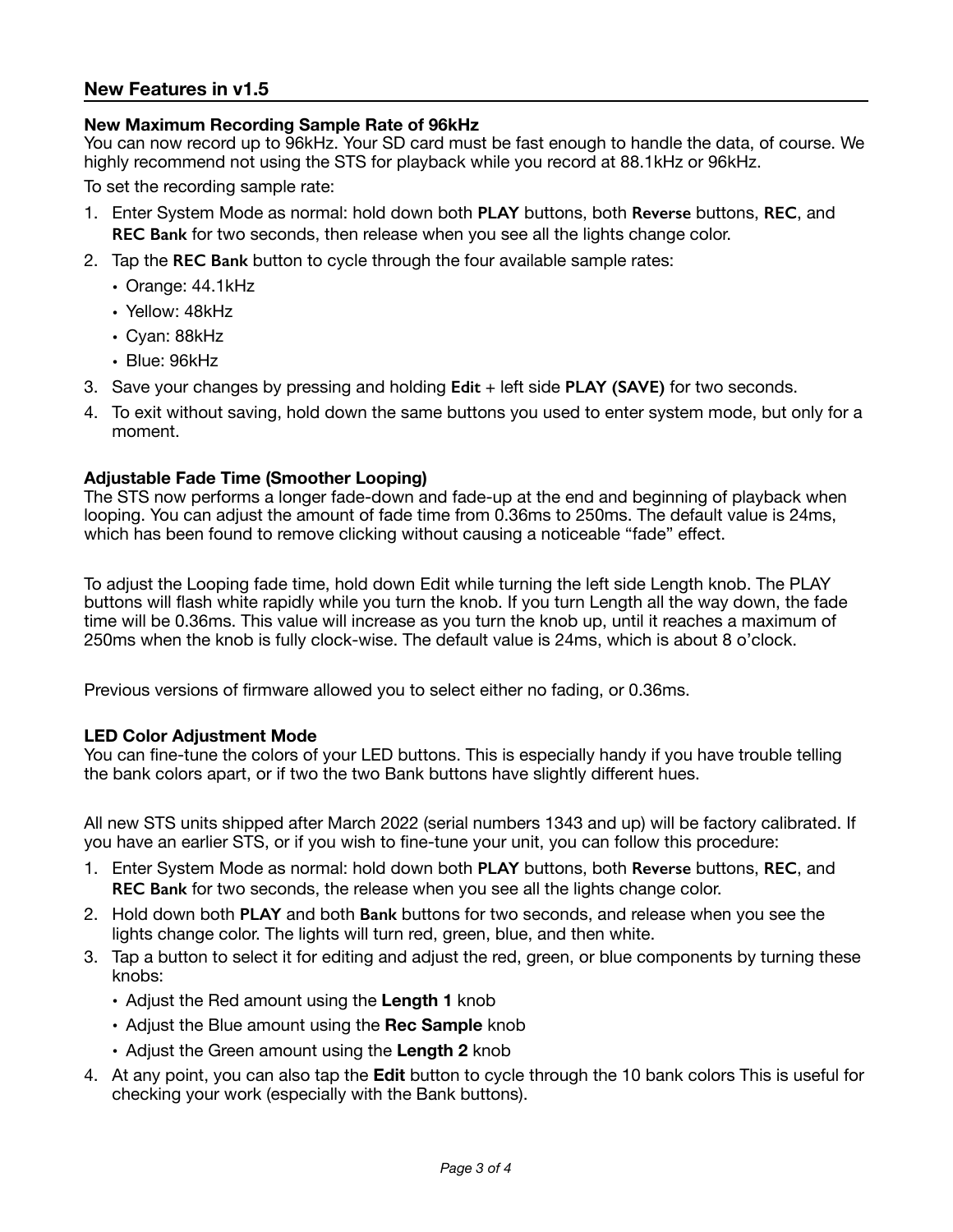# <span id="page-2-0"></span>**New Features in v1.5**

### <span id="page-2-1"></span>**New Maximum Recording Sample Rate of 96kHz**

You can now record up to 96kHz. Your SD card must be fast enough to handle the data, of course. We highly recommend not using the STS for playback while you record at 88.1kHz or 96kHz.

To set the recording sample rate:

- 1. Enter System Mode as normal: hold down both **PLAY** buttons, both **Reverse** buttons, **REC**, and **REC Bank** for two seconds, then release when you see all the lights change color.
- 2. Tap the **REC Bank** button to cycle through the four available sample rates:
	- Orange: 44.1kHz
	- Yellow: 48kHz
	- Cyan: 88kHz
	- Blue: 96kHz
- 3. Save your changes by pressing and holding **Edit** + left side **PLAY (SAVE)** for two seconds.
- 4. To exit without saving, hold down the same buttons you used to enter system mode, but only for a moment.

#### <span id="page-2-2"></span>**Adjustable Fade Time (Smoother Looping)**

The STS now performs a longer fade-down and fade-up at the end and beginning of playback when looping. You can adjust the amount of fade time from 0.36ms to 250ms. The default value is 24ms, which has been found to remove clicking without causing a noticeable "fade" effect.

To adjust the Looping fade time, hold down Edit while turning the left side Length knob. The PLAY buttons will flash white rapidly while you turn the knob. If you turn Length all the way down, the fade time will be 0.36ms. This value will increase as you turn the knob up, until it reaches a maximum of 250ms when the knob is fully clock-wise. The default value is 24ms, which is about 8 o'clock.

Previous versions of firmware allowed you to select either no fading, or 0.36ms.

#### <span id="page-2-3"></span>**LED Color Adjustment Mode**

You can fine-tune the colors of your LED buttons. This is especially handy if you have trouble telling the bank colors apart, or if two the two Bank buttons have slightly different hues.

All new STS units shipped after March 2022 (serial numbers 1343 and up) will be factory calibrated. If you have an earlier STS, or if you wish to fine-tune your unit, you can follow this procedure:

- 1. Enter System Mode as normal: hold down both **PLAY** buttons, both **Reverse** buttons, **REC**, and **REC Bank** for two seconds, the release when you see all the lights change color.
- 2. Hold down both **PLAY** and both **Bank** buttons for two seconds, and release when you see the lights change color. The lights will turn red, green, blue, and then white.
- 3. Tap a button to select it for editing and adjust the red, green, or blue components by turning these knobs:
	- Adjust the Red amount using the **Length 1** knob
	- Adjust the Blue amount using the **Rec Sample** knob
	- Adjust the Green amount using the **Length 2** knob
- 4. At any point, you can also tap the **Edit** button to cycle through the 10 bank colors This is useful for checking your work (especially with the Bank buttons).